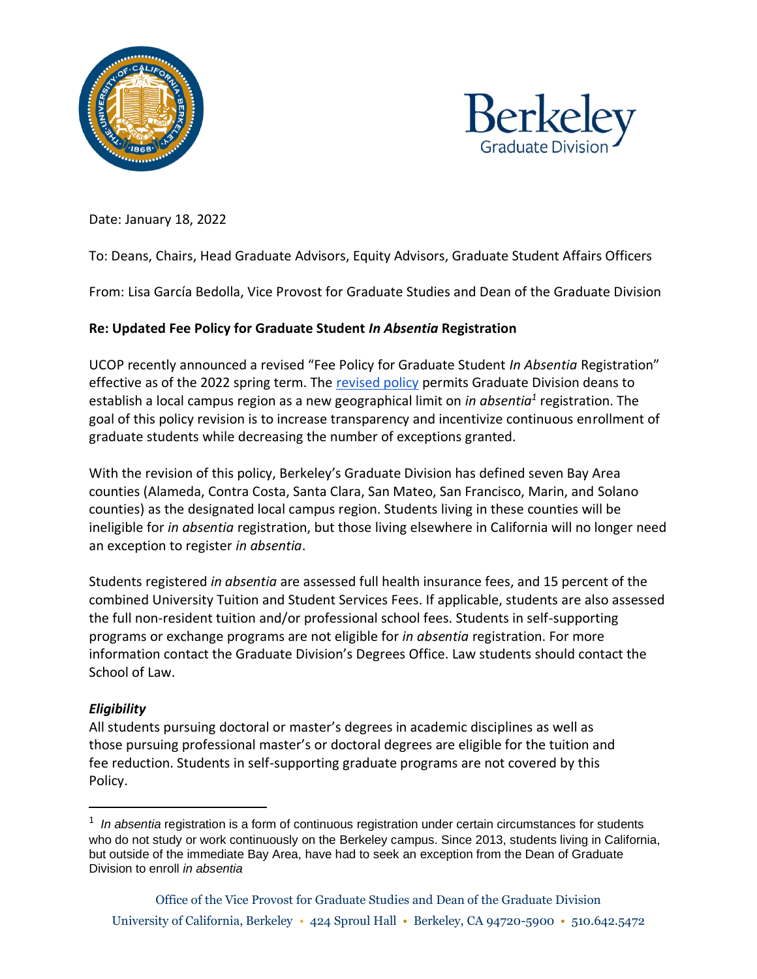



Date: January 18, 2022

## To: Deans, Chairs, Head Graduate Advisors, Equity Advisors, Graduate Student Affairs Officers

From: Lisa García Bedolla, Vice Provost for Graduate Studies and Dean of the Graduate Division

## **Re: Updated Fee Policy for Graduate Student** *In Absentia* **Registration**

UCOP recently announced a revised "Fee Policy for Graduate Student *In Absentia* Registration" effective as of the 2022 spring term. The [revised policy](https://policy.ucop.edu/doc/3100562/GradStudentFeeInAbsentiaReg) permits Graduate Division deans to establish a local campus region as a new geographical limit on *in absentia<sup>1</sup>* registration. The goal of this policy revision is to increase transparency and incentivize continuous enrollment of graduate students while decreasing the number of exceptions granted.

With the revision of this policy, Berkeley's Graduate Division has defined seven Bay Area counties (Alameda, Contra Costa, Santa Clara, San Mateo, San Francisco, Marin, and Solano counties) as the designated local campus region. Students living in these counties will be ineligible for *in absentia* registration, but those living elsewhere in California will no longer need an exception to register *in absentia*.

Students registered *in absentia* are assessed full health insurance fees, and 15 percent of the combined University Tuition and Student Services Fees. If applicable, students are also assessed the full non-resident tuition and/or professional school fees. Students in self-supporting programs or exchange programs are not eligible for *in absentia* registration. For more information contact the Graduate Division's Degrees Office. Law students should contact the School of Law.

## *Eligibility*

All students pursuing doctoral or master's degrees in academic disciplines as well as those pursuing professional master's or doctoral degrees are eligible for the tuition and fee reduction. Students in self-supporting graduate programs are not covered by this Policy.

<sup>&</sup>lt;sup>1</sup> In absentia registration is a form of continuous registration under certain circumstances for students who do not study or work continuously on the Berkeley campus. Since 2013, students living in California, but outside of the immediate Bay Area, have had to seek an exception from the Dean of Graduate Division to enroll *in absentia*